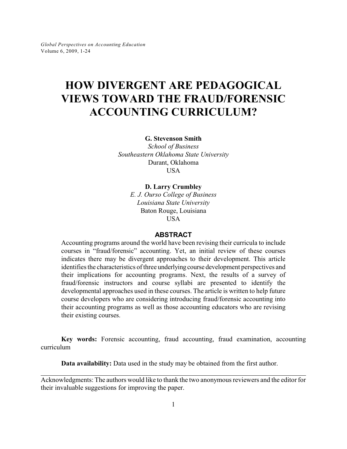# **HOW DIVERGENT ARE PEDAGOGICAL VIEWS TOWARD THE FRAUD/FORENSIC ACCOUNTING CURRICULUM?**

**G. Stevenson Smith**

*School of Business Southeastern Oklahoma State University* Durant, Oklahoma **USA** 

#### **D. Larry Crumbley**

*E. J. Ourso College of Business Louisiana State University* Baton Rouge, Louisiana USA

#### **ABSTRACT**

Accounting programs around the world have been revising their curricula to include courses in "fraud/forensic" accounting. Yet, an initial review of these courses indicates there may be divergent approaches to their development. This article identifies the characteristics of three underlying course development perspectives and their implications for accounting programs. Next, the results of a survey of fraud/forensic instructors and course syllabi are presented to identify the developmental approaches used in these courses. The article is written to help future course developers who are considering introducing fraud/forensic accounting into their accounting programs as well as those accounting educators who are revising their existing courses.

**Key words:** Forensic accounting, fraud accounting, fraud examination, accounting curriculum

**Data availability:** Data used in the study may be obtained from the first author.

Acknowledgments: The authors would like to thank the two anonymous reviewers and the editor for their invaluable suggestions for improving the paper.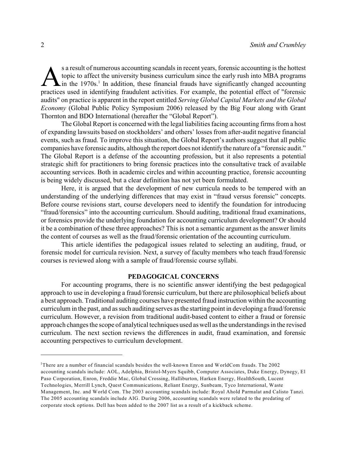Sa result of numerous accounting scandals in recent years, forensic accounting is the hottest<br>topic to affect the university business curriculum since the early rush into MBA programs<br>in the 1970s.<sup>1</sup> In addition, these fi s a result of numerous accounting scandals in recent years, forensic accounting is the hottest topic to affect the university business curriculum since the early rush into MBA programs  $\sum$  in the 1970s.<sup>1</sup> In addition, these financial frauds have significantly changed accounting audits" on practice is apparent in the report entitled *Serving Global Capital Markets and the Global Economy* (Global Public Policy Symposium 2006) released by the Big Four along with Grant Thornton and BDO International (hereafter the "Global Report").

The Global Report is concerned with the legal liabilities facing accounting firms from a host of expanding lawsuits based on stockholders' and others' losses from after-audit negative financial events, such as fraud. To improve this situation, the Global Report's authors suggest that all public companies have forensic audits, although the report does not identifythe nature of a "forensic audit." The Global Report is a defense of the accounting profession, but it also represents a potential strategic shift for practitioners to bring forensic practices into the consultative track of available accounting services. Both in academic circles and within accounting practice, forensic accounting is being widely discussed, but a clear definition has not yet been formulated.

Here, it is argued that the development of new curricula needs to be tempered with an understanding of the underlying differences that may exist in "fraud versus forensic" concepts. Before course revisions start, course developers need to identify the foundation for introducing "fraud/forensics" into the accounting curriculum. Should auditing, traditional fraud examinations, or forensics provide the underlying foundation for accounting curriculum development? Or should it be a combination of these three approaches? This is not a semantic argument as the answer limits the content of courses as well as the fraud/forensic orientation of the accounting curriculum.

This article identifies the pedagogical issues related to selecting an auditing, fraud, or forensic model for curricula revision. Next, a survey of faculty members who teach fraud/forensic courses is reviewed along with a sample of fraud/forensic course syllabi.

#### **PEDAGOGICAL CONCERNS**

For accounting programs, there is no scientific answer identifying the best pedagogical approach to use in developing a fraud/forensic curriculum, but there are philosophical beliefs about a best approach. Traditional auditing courses have presented fraud instruction within the accounting curriculum in the past, and as such auditing serves as the starting point in developing a fraud/forensic curriculum. However, a revision from traditional audit-based content to either a fraud or forensic approach changes the scope of analytical techniques used as well as the understandings in the revised curriculum. The next section reviews the differences in audit, fraud examination, and forensic accounting perspectives to curriculum development.

<sup>&</sup>lt;sup>1</sup>There are a number of financial scandals besides the well-known Enron and WorldCom frauds. The 2002 accounting scandals include: AOL, Adelphia, Bristol-Myers Squibb, Computer Associates, Duke Energy, Dynegy, El Paso Corporation, Enron, Freddie Mac, Global Crossing, Halliburton, Harken Energy, HealthSouth, Lucent Technologies, Merrill Lynch, Quest Communications, Reliant Energy, Sunbeam, Tyco International, Waste Management, Inc. and World Com. The 2003 accounting scandals include: Royal Ahold Parmalat and Calisto Tanzi. The 2005 accounting scandals include AIG. During 2006, accounting scandals were related to the predating of corporate stock options. Dell has been added to the 2007 list as a result of a kickback scheme.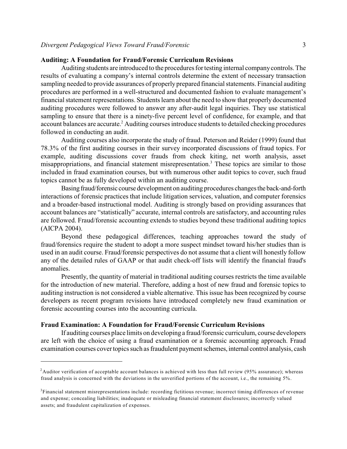#### **Auditing: A Foundation for Fraud/Forensic Curriculum Revisions**

Auditing students are introduced to the procedures for testing internal companycontrols. The results of evaluating a company's internal controls determine the extent of necessary transaction sampling needed to provide assurances of properly prepared financial statements. Financial auditing procedures are performed in a well-structured and documented fashion to evaluate management's financial statement representations. Students learn about the need to show that properly documented auditing procedures were followed to answer any after-audit legal inquiries. They use statistical sampling to ensure that there is a ninety-five percent level of confidence, for example, and that account balances are accurate.<sup>2</sup> Auditing courses introduce students to detailed checking procedures followed in conducting an audit.

Auditing courses also incorporate the study of fraud. Peterson and Reider (1999) found that 78.3% of the first auditing courses in their survey incorporated discussions of fraud topics. For example, auditing discussions cover frauds from check kiting, net worth analysis, asset misappropriations, and financial statement misrepresentation.<sup>3</sup> These topics are similar to those included in fraud examination courses, but with numerous other audit topics to cover, such fraud topics cannot be as fully developed within an auditing course.

Basing fraud/forensic course development on auditing procedures changes the back-and-forth interactions of forensic practices that include litigation services, valuation, and computer forensics and a broader-based instructional model. Auditing is strongly based on providing assurances that account balances are "statistically" accurate, internal controls are satisfactory, and accounting rules are followed. Fraud/forensic accounting extends to studies beyond these traditional auditing topics (AICPA 2004).

Beyond these pedagogical differences, teaching approaches toward the study of fraud/forensics require the student to adopt a more suspect mindset toward his/her studies than is used in an audit course. Fraud/forensic perspectives do not assume that a client will honestly follow any of the detailed rules of GAAP or that audit check-off lists will identify the financial fraud's anomalies.

Presently, the quantity of material in traditional auditing courses restricts the time available for the introduction of new material. Therefore, adding a host of new fraud and forensic topics to auditing instruction is not considered a viable alternative. This issue has been recognized by course developers as recent program revisions have introduced completely new fraud examination or forensic accounting courses into the accounting curricula.

# **Fraud Examination: A Foundation for Fraud/Forensic Curriculum Revisions**

If auditing courses place limits on developing a fraud/forensic curriculum, course developers are left with the choice of using a fraud examination or a forensic accounting approach. Fraud examination courses covertopics such as fraudulent payment schemes, internal control analysis, cash

 $A$ uditor verification of acceptable account balances is achieved with less than full review (95% assurance); whereas fraud analysis is concerned with the deviations in the unverified portions of the account, i.e., the remaining 5%.

 ${}^{3}$ Financial statement misrepresentations include: recording fictitious revenue; incorrect timing differences of revenue and expense; concealing liabilities; inadequate or misleading financial statement disclosures; incorrectly valued assets; and fraudulent capitalization of expenses.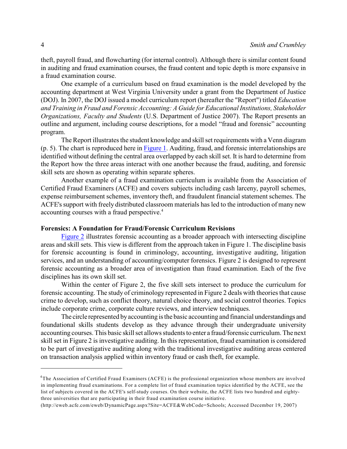theft, payroll fraud, and flowcharting (for internal control). Although there is similar content found in auditing and fraud examination courses, the fraud content and topic depth is more expansive in a fraud examination course.

One example of a curriculum based on fraud examination is the model developed by the accounting department at West Virginia University under a grant from the Department of Justice (DOJ). In 2007, the DOJ issued a model curriculum report (hereafter the "Report") titled *Education and Training in Fraud and Forensic Accounting: A Guide for Educational Institutions, Stakeholder Organizations, Faculty and Students* (U.S. Department of Justice 2007). The Report presents an outline and argument, including course descriptions, for a model "fraud and forensic" accounting program.

The Report illustrates the student knowledge and skill set requirements with a Venn diagram (p. 5). The chart is reproduced here in [Figure 1](http://web.bryant.edu/~gpae/Vol6/Fraud-Forensic/Figure1.pdf). Auditing, fraud, and forensic interrelationships are identified without defining the central area overlapped by each skill set. It is hard to determine from the Report how the three areas interact with one another because the fraud, auditing, and forensic skill sets are shown as operating within separate spheres.

Another example of a fraud examination curriculum is available from the Association of Certified Fraud Examiners (ACFE) and covers subjects including cash larceny, payroll schemes, expense reimbursement schemes, inventory theft, and fraudulent financial statement schemes. The ACFE's support with freely distributed classroom materials has led to the introduction of many new accounting courses with a fraud perspective.<sup>4</sup>

#### **Forensics: A Foundation for Fraud/Forensic Curriculum Revisions**

[Figure 2](http://web.bryant.edu/~gpae/Vol6/Fraud-Forensic/Figure2.pdf) illustrates forensic accounting as a broader approach with intersecting discipline areas and skill sets. This view is different from the approach taken in Figure 1. The discipline basis for forensic accounting is found in criminology, accounting, investigative auditing, litigation services, and an understanding of accounting/computer forensics. Figure 2 is designed to represent forensic accounting as a broader area of investigation than fraud examination. Each of the five disciplines has its own skill set.

Within the center of Figure 2, the five skill sets intersect to produce the curriculum for forensic accounting. The study of criminology represented in Figure 2 deals with theories that cause crime to develop, such as conflict theory, natural choice theory, and social control theories. Topics include corporate crime, corporate culture reviews, and interview techniques.

The circle represented byaccounting is the basic accounting and financial understandings and foundational skills students develop as they advance through their undergraduate university accounting courses. This basic skill set allows students to enter a fraud/forensic curriculum. The next skill set in Figure 2 is investigative auditing. In this representation, fraud examination is considered to be part of investigative auditing along with the traditional investigative auditing areas centered on transaction analysis applied within inventory fraud or cash theft, for example.

 $4$ The Association of Certified Fraud Examiners (ACFE) is the professional organization whose members are involved in implementing fraud examinations. For a complete list of fraud examination topics identified by the ACFE, see the list of subjects covered in the ACFE's self-study courses. On their website, the ACFE lists two hundred and eightythree universities that are participating in their fraud examination course initiative.

<sup>(</sup>http://eweb.acfe.com/eweb/DynamicPage.aspx?Site=ACFE&WebCode=Schools; Accessed December 19, 2007)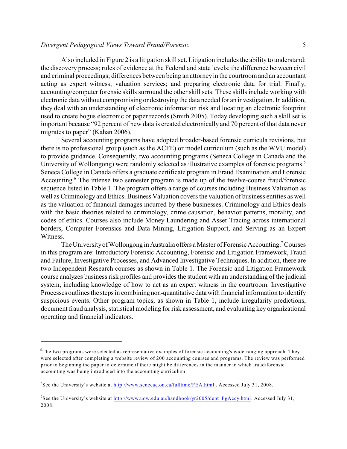#### *Divergent Pedagogical Views Toward Fraud/Forensic* 5

Also included in Figure 2 is a litigation skill set. Litigation includes the ability to understand: the discovery process; rules of evidence at the Federal and state levels; the difference between civil and criminal proceedings; differences between being an attorneyin the courtroom and an accountant acting as expert witness; valuation services; and preparing electronic data for trial. Finally, accounting/computer forensic skills surround the other skill sets. These skills include working with electronic data without compromising or destroying the data needed for an investigation. In addition, they deal with an understanding of electronic information risk and locating an electronic footprint used to create bogus electronic or paper records (Smith 2005). Today developing such a skill set is important because "92 percent of new data is created electronically and 70 percent of that data never migrates to paper" (Kahan 2006).

Several accounting programs have adopted broader-based forensic curricula revisions, but there is no professional group (such as the ACFE) or model curriculum (such as the WVU model) to provide guidance. Consequently, two accounting programs (Seneca College in Canada and the University of Wollongong) were randomly selected as illustrative examples of forensic programs.<sup>5</sup> Seneca College in Canada offers a graduate certificate program in Fraud Examination and Forensic Accounting.<sup>6</sup> The intense two semester program is made up of the twelve-course fraud/forensic sequence listed in Table 1. The program offers a range of courses including Business Valuation as well as Criminology and Ethics. Business Valuation covers the valuation of business entities as well as the valuation of financial damages incurred by these businesses. Criminology and Ethics deals with the basic theories related to criminology, crime causation, behavior patterns, morality, and codes of ethics. Courses also include Money Laundering and Asset Tracing across international borders, Computer Forensics and Data Mining, Litigation Support, and Serving as an Expert Witness.

The University of Wollongong in Australia offers a Master of Forensic Accounting.<sup>7</sup> Courses in this program are: Introductory Forensic Accounting, Forensic and Litigation Framework, Fraud and Failure, Investigative Processes, and Advanced Investigative Techniques. In addition, there are two Independent Research courses as shown in Table 1. The Forensic and Litigation Framework course analyzes business risk profiles and provides the student with an understanding of the judicial system, including knowledge of how to act as an expert witness in the courtroom. Investigative Processes outlines the steps in combining non-quantitative data with financial information to identify suspicious events. Other program topics, as shown in Table 1, include irregularity predictions, document fraud analysis, statistical modeling for risk assessment, and evaluating key organizational operating and financial indicators.

 $5$ The two programs were selected as representative examples of forensic accounting's wide-ranging approach. They were selected after completing a website review of 200 accounting courses and programs. The review was performed prior to beginning the paper to determine if there might be differences in the manner in which fraud/forensic accounting was being introduced into the accounting curriculum.

<sup>&</sup>lt;sup>6</sup>See the University's website at <http://www.senecac.on.ca/fulltime/FEA.html> . Accessed July 31, 2008.

<sup>&</sup>lt;sup>7</sup>See the University's website at [http://www.uow.edu.au/handbook/yr2005/dept\\_PgAccy.html](http://www.uow.edu.au/handbook/yr2005/dept_PgAccy.html). Accessed July 31, 2008.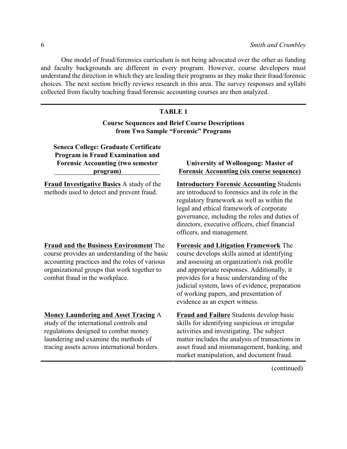One model of fraud/forensics curriculum is not being advocated over the other as funding and faculty backgrounds are different in every program. However, course developers must understand the direction in which they are leading their programs as they make their fraud/forensic choices. The next section briefly reviews research in this area. The survey responses and syllabi collected from faculty teaching fraud/forensic accounting courses are then analyzed.

# **TABLE 1 Course Sequences and Brief Course Descriptions from Two Sample "Forensic" Programs**

**Seneca College: Graduate Certificate Program in Fraud Examination and Forensic Accounting (two semester program)** 

**Fraud Investigative Basics** A study of the methods used to detect and prevent fraud.

**Fraud and the Business Environment** The course provides an understanding of the basic accounting practices and the roles of various organizational groups that work together to combat fraud in the workplace.

**Money Laundering and Asset Tracing** A study of the international controls and regulations designed to combat money laundering and examine the methods of tracing assets across international borders.

# **University of Wollongong: Master of Forensic Accounting (six course sequence)**

**Introductory Forensic Accounting** Students are introduced to forensics and its role in the regulatory framework as well as within the legal and ethical framework of corporate governance, including the roles and duties of directors, executive officers, chief financial officers, and management.

**Forensic and Litigation Framework** The course develops skills aimed at identifying and assessing an organization's risk profile and appropriate responses. Additionally, it provides for a basic understanding of the judicial system, laws of evidence, preparation of working papers, and presentation of evidence as an expert witness.

**Fraud and Failure** Students develop basic skills for identifying suspicious or irregular activities and investigating. The subject matter includes the analysis of transactions in asset fraud and mismanagement, banking, and market manipulation, and document fraud.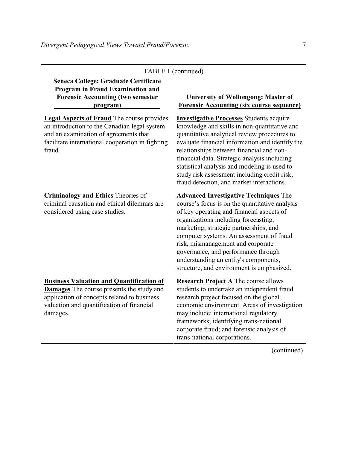# TABLE 1 (continued)

**Seneca College: Graduate Certificate Program in Fraud Examination and Forensic Accounting (two semester program)** 

**Legal Aspects of Fraud** The course provides an introduction to the Canadian legal system and an examination of agreements that facilitate international cooperation in fighting fraud.

#### **Criminology and Ethics** Theories of

criminal causation and ethical dilemmas are considered using case studies.

#### **Business Valuation and Quantification of**

**Damages** The course presents the study and application of concepts related to business valuation and quantification of financial damages.

# **University of Wollongong: Master of Forensic Accounting (six course sequence)**

**Investigative Processes** Students acquire knowledge and skills in non-quantitative and quantitative analytical review procedures to evaluate financial information and identify the relationships between financial and nonfinancial data. Strategic analysis including statistical analysis and modeling is used to study risk assessment including credit risk, fraud detection, and market interactions.

**Advanced Investigative Techniques** The course's focus is on the quantitative analysis of key operating and financial aspects of organizations including forecasting, marketing, strategic partnerships, and computer systems. An assessment of fraud risk, mismanagement and corporate governance, and performance through understanding an entity's components, structure, and environment is emphasized.

**Research Project A** The course allows students to undertake an independent fraud research project focused on the global economic environment. Areas of investigation may include: international regulatory frameworks; identifying trans-national corporate fraud; and forensic analysis of trans-national corporations.

(continued)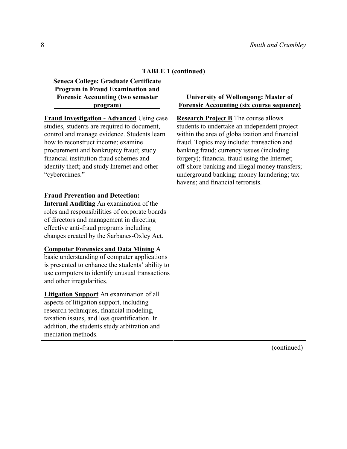# **TABLE 1 (continued)**

**Seneca College: Graduate Certificate Program in Fraud Examination and Forensic Accounting (two semester program)** 

**Fraud Investigation - Advanced** Using case studies, students are required to document, control and manage evidence. Students learn how to reconstruct income; examine procurement and bankruptcy fraud; study financial institution fraud schemes and identity theft; and study Internet and other "cybercrimes."

#### **Fraud Prevention and Detection:**

**Internal Auditing** An examination of the roles and responsibilities of corporate boards of directors and management in directing effective anti-fraud programs including changes created by the Sarbanes-Oxley Act.

#### **Computer Forensics and Data Mining** A

basic understanding of computer applications is presented to enhance the students' ability to use computers to identify unusual transactions and other irregularities.

**Litigation Support** An examination of all aspects of litigation support, including research techniques, financial modeling, taxation issues, and loss quantification. In addition, the students study arbitration and mediation methods.

#### **University of Wollongong: Master of Forensic Accounting (six course sequence)**

**Research Project B** The course allows students to undertake an independent project within the area of globalization and financial fraud. Topics may include: transaction and banking fraud; currency issues (including forgery); financial fraud using the Internet; off-shore banking and illegal money transfers; underground banking; money laundering; tax havens; and financial terrorists.

(continued)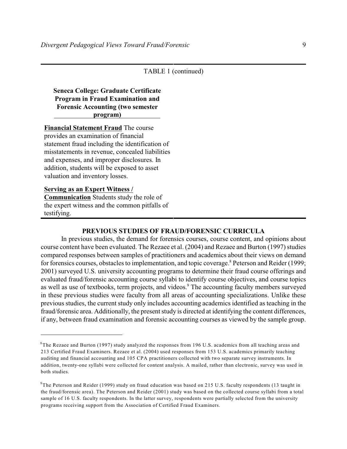## TABLE 1 (continued)

# **Seneca College: Graduate Certificate Program in Fraud Examination and Forensic Accounting (two semester program)**

**Financial Statement Fraud** The course provides an examination of financial statement fraud including the identification of misstatements in revenue, concealed liabilities and expenses, and improper disclosures. In addition, students will be exposed to asset valuation and inventory losses.

#### **Serving as an Expert Witness /**

**Communication** Students study the role of the expert witness and the common pitfalls of testifying.

## **PREVIOUS STUDIES OF FRAUD/FORENSIC CURRICULA**

In previous studies, the demand for forensics courses, course content, and opinions about course content have been evaluated. The Rezaee et al. (2004) and Rezaee and Burton (1997) studies compared responses between samples of practitioners and academics about their views on demand for forensics courses, obstacles to implementation, and topic coverage.<sup>8</sup> Peterson and Reider (1999; 2001) surveyed U.S. university accounting programs to determine their fraud course offerings and evaluated fraud/forensic accounting course syllabi to identify course objectives, and course topics as well as use of textbooks, term projects, and videos.<sup>9</sup> The accounting faculty members surveyed in these previous studies were faculty from all areas of accounting specializations. Unlike these previous studies, the current study only includes accounting academics identified as teaching in the fraud/forensic area. Additionally, the present study is directed at identifying the content differences, if any, between fraud examination and forensic accounting courses as viewed by the sample group.

 $8$ The Rezaee and Burton (1997) study analyzed the responses from 196 U.S. academics from all teaching areas and 213 Certified Fraud Examiners. Rezaee et al. (2004) used responses from 153 U.S. academics primarily teaching auditing and financial accounting and 105 CPA practitioners collected with two separate survey instruments. In addition, twenty-one syllabi were collected for content analysis. A mailed, rather than electronic, survey was used in both studies.

 $9$ The Peterson and Reider (1999) study on fraud education was based on 215 U.S. faculty respondents (13 taught in the fraud/forensic area). The Peterson and Reider (2001) study was based on the collected course syllabi from a total sample of 16 U.S. faculty respondents. In the latter survey, respondents were partially selected from the university programs receiving support from the Association of Certified Fraud Examiners.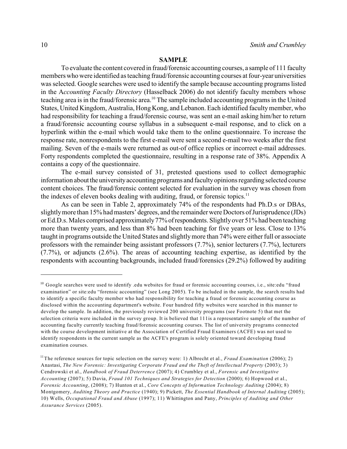#### **SAMPLE**

To evaluate the content covered in fraud/forensic accounting courses, a sample of 111 faculty members who were identified as teaching fraud/forensic accounting courses at four-year universities was selected. Google searches were used to identify the sample because accounting programs listed in the A*ccounting Faculty Directory* (Hasselback 2006) do not identify faculty members whose teaching area is in the fraud/forensic area.<sup>10</sup> The sample included accounting programs in the United States, United Kingdom, Australia, Hong Kong, and Lebanon. Each identified facultymember, who had responsibility for teaching a fraud/forensic course, was sent an e-mail asking him/her to return a fraud/forensic accounting course syllabus in a subsequent e-mail response, and to click on a hyperlink within the e-mail which would take them to the online questionnaire. To increase the response rate, nonrespondents to the first e-mail were sent a second e-mail two weeks after the first mailing. Seven of the e-mails were returned as out-of office replies or incorrect e-mail addresses. Forty respondents completed the questionnaire, resulting in a response rate of 38%. Appendix A contains a copy of the questionnaire.

The e-mail survey consisted of 31, pretested questions used to collect demographic information about the universityaccounting programs and facultyopinions regarding selected course content choices. The fraud/forensic content selected for evaluation in the survey was chosen from the indexes of eleven books dealing with auditing, fraud, or forensic topics. $<sup>11</sup>$ </sup>

As can be seen in Table 2, approximately 74% of the respondents had Ph.D.s or DBAs, slightlymore than 15% had masters' degrees, and the remainder were Doctors of Jurisprudence (JDs) or Ed.D.s. Males comprised approximately77%ofrespondents. Slightlyover 51% had been teaching more than twenty years, and less than 8% had been teaching for five years or less. Close to 13% taught in programs outside the United States and slightlymore than 74% were either full or associate professors with the remainder being assistant professors (7.7%), senior lecturers (7.7%), lecturers (7.7%), or adjuncts (2.6%). The areas of accounting teaching expertise, as identified by the respondents with accounting backgrounds, included fraud/forensics (29.2%) followed by auditing

<sup>&</sup>lt;sup>10</sup> Google searches were used to identify .edu websites for fraud or forensic accounting courses, i.e., site:edu "fraud examination" or site:edu "forensic accounting" (see Long 2005). To be included in the sample, the search results had to identify a specific faculty member who had responsibility for teaching a fraud or forensic accounting course as disclosed within the accounting department's website. Four hundred fifty websites were searched in this manner to develop the sample. In addition, the previously reviewed 200 university programs (see Footnote 5) that met the selection criteria were included in the survey group. It is believed that 111is a representative sample of the number of accounting faculty currently teaching fraud/forensic accounting courses. The list of university programs connected with the course development initiative at the Association of Certified Fraud Examiners (ACFE) was not used to identify respondents in the current sample as the ACFE's program is solely oriented toward developing fraud examination courses.

<sup>&</sup>lt;sup>11</sup>The reference sources for topic selection on the survey were: 1) Albrecht et al., *Fraud Examination* (2006); 2) Anastasi, *The New Forensic: Investigating Corporate Fraud and the Theft of Intellectual Property* (2003); 3) Cendrowski et al., *Handbook of Fraud Deterrence* (2007); 4) Crumbley et al., *Forensic and Investigative Accounting* (2007); 5) Davia, *Fraud 101 Techniques and Strategies for Detection* (2000); 6) Hopwood et al., *Forensic Accounting*, (2008); 7) Hunton et al., *Core Concepts of Information Technology Auditing* (2004); 8) Montgomery, *Auditing Theory and Practice* (1940); 9) Pickett, *The Essential Handbook of Internal Auditing* (2005); 10) Wells, *Occupational Fraud and Abuse* (1997); 11) Whittington and Pany, *Principles of Auditing and Other Assurance Services* (2005).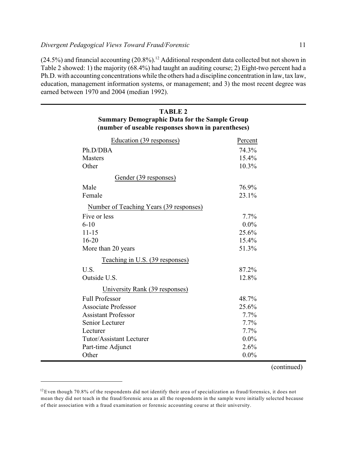$(24.5\%)$  and financial accounting  $(20.8\%)$ .<sup>12</sup> Additional respondent data collected but not shown in Table 2 showed: 1) the majority (68.4%) had taught an auditing course; 2) Eight-two percent had a Ph.D. with accounting concentrations while the others had a discipline concentration in law, tax law, education, management information systems, or management; and 3) the most recent degree was earned between 1970 and 2004 (median 1992).

**TABLE 2**

| <b>Summary Demographic Data for the Sample Group</b><br>(number of useable responses shown in parentheses) |         |
|------------------------------------------------------------------------------------------------------------|---------|
| Education (39 responses)                                                                                   | Percent |
| Ph.D/DBA                                                                                                   | 74.3%   |
| <b>Masters</b>                                                                                             | 15.4%   |
| Other                                                                                                      | 10.3%   |
| Gender (39 responses)                                                                                      |         |
| Male                                                                                                       | 76.9%   |
| Female                                                                                                     | 23.1%   |
| Number of Teaching Years (39 responses)                                                                    |         |
| Five or less                                                                                               | 7.7%    |
| $6 - 10$                                                                                                   | $0.0\%$ |
| $11 - 15$                                                                                                  | 25.6%   |
| $16 - 20$                                                                                                  | 15.4%   |
| More than 20 years                                                                                         | 51.3%   |
| Teaching in U.S. (39 responses)                                                                            |         |
| U.S.                                                                                                       | 87.2%   |
| Outside U.S.                                                                                               | 12.8%   |
| University Rank (39 responses)                                                                             |         |
| <b>Full Professor</b>                                                                                      | 48.7%   |
| <b>Associate Professor</b>                                                                                 | 25.6%   |
| <b>Assistant Professor</b>                                                                                 | $7.7\%$ |
| Senior Lecturer                                                                                            | $7.7\%$ |
| Lecturer                                                                                                   | $7.7\%$ |
| Tutor/Assistant Lecturer                                                                                   | $0.0\%$ |
| Part-time Adjunct                                                                                          | 2.6%    |
| Other                                                                                                      | $0.0\%$ |

(continued)

 $12$  Even though 70.8% of the respondents did not identify their area of specialization as fraud/forensics, it does not mean they did not teach in the fraud/forensic area as all the respondents in the sample were initially selected because of their association with a fraud examination or forensic accounting course at their university.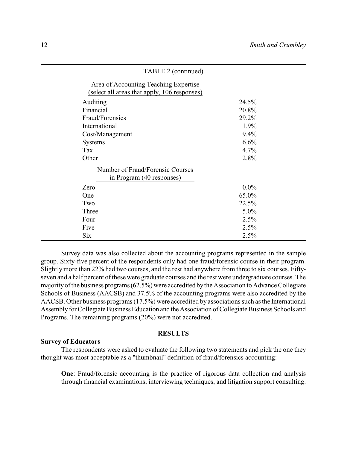| TABLE 2 (continued)                                                                   |         |
|---------------------------------------------------------------------------------------|---------|
| Area of Accounting Teaching Expertise<br>(select all areas that apply, 106 responses) |         |
| Auditing                                                                              | 24.5%   |
| Financial                                                                             | 20.8%   |
| Fraud/Forensics                                                                       | 29.2%   |
| International                                                                         | 1.9%    |
| Cost/Management                                                                       | $9.4\%$ |
| <b>Systems</b>                                                                        | 6.6%    |
| Tax                                                                                   | 4.7%    |
| Other                                                                                 | 2.8%    |
| Number of Fraud/Forensic Courses                                                      |         |
| in Program (40 responses)                                                             |         |
| Zero                                                                                  | $0.0\%$ |
| One                                                                                   | 65.0%   |
| Two                                                                                   | 22.5%   |
| Three                                                                                 | $5.0\%$ |
| Four                                                                                  | 2.5%    |
| Five                                                                                  | 2.5%    |
| <b>Six</b>                                                                            | 2.5%    |

Survey data was also collected about the accounting programs represented in the sample group. Sixty-five percent of the respondents only had one fraud/forensic course in their program. Slightly more than 22% had two courses, and the rest had anywhere from three to six courses. Fiftyseven and a half percent of these were graduate courses and the rest were undergraduate courses. The majorityof the business programs(62.5%) were accredited bythe Association to Advance Collegiate Schools of Business (AACSB) and 37.5% of the accounting programs were also accredited by the AACSB. Other business programs (17.5%) were accredited by associations such as the International Assembly for Collegiate Business Education and the Association of Collegiate Business Schools and Programs. The remaining programs (20%) were not accredited.

### **RESULTS**

#### **Survey of Educators**

The respondents were asked to evaluate the following two statements and pick the one they thought was most acceptable as a "thumbnail" definition of fraud/forensics accounting:

**One**: Fraud/forensic accounting is the practice of rigorous data collection and analysis through financial examinations, interviewing techniques, and litigation support consulting.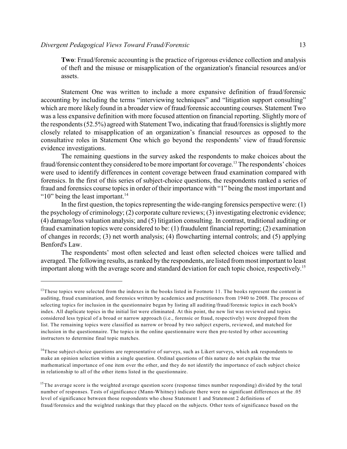**Two**: Fraud/forensic accounting is the practice of rigorous evidence collection and analysis of theft and the misuse or misapplication of the organization's financial resources and/or assets.

Statement One was written to include a more expansive definition of fraud/forensic accounting by including the terms "interviewing techniques" and "litigation support consulting" which are more likely found in a broader view of fraud/forensic accounting courses. Statement Two was a less expansive definition with more focused attention on financial reporting. Slightly more of the respondents (52.5%) agreed with Statement Two, indicating that fraud/forensics is slightlymore closely related to misapplication of an organization's financial resources as opposed to the consultative roles in Statement One which go beyond the respondents' view of fraud/forensic evidence investigations.

The remaining questions in the survey asked the respondents to make choices about the fraud/forensic content they considered to be more important for coverage.<sup>13</sup> The respondents' choices were used to identify differences in content coverage between fraud examination compared with forensics. In the first of this series of subject-choice questions, the respondents ranked a series of fraud and forensics course topics in order of their importance with "1" being the most important and " $10$ " being the least important.<sup>14</sup>

In the first question, the topics representing the wide-ranging forensics perspective were: (1) the psychology of criminology; (2) corporate culture reviews; (3) investigating electronic evidence; (4) damage/loss valuation analysis; and (5) litigation consulting. In contrast, traditional auditing or fraud examination topics were considered to be: (1) fraudulent financial reporting; (2) examination of changes in records; (3) net worth analysis; (4) flowcharting internal controls; and (5) applying Benford's Law.

The respondents' most often selected and least often selected choices were tallied and averaged. The following results, as ranked by the respondents, are listed from most important to least important along with the average score and standard deviation for each topic choice, respectively. 15

 $13$ These topics were selected from the indexes in the books listed in Footnote 11. The books represent the content in auditing, fraud examination, and forensics written by academics and practitioners from 1940 to 2008. The process of selecting topics for inclusion in the questionnaire began by listing all auditing/fraud/forensic topics in each book's index. All duplicate topics in the initial list were eliminated. At this point, the new list was reviewed and topics considered less typical of a broad or narrow approach (i.e., forensic or fraud, respectively) were dropped from the list. The remaining topics were classified as narrow or broad by two subject experts, reviewed, and matched for inclusion in the questionnaire. The topics in the online questionnaire were then pre-tested by other accounting instructors to determine final topic matches.

 $14$ These subject-choice questions are representative of surveys, such as Likert surveys, which ask respondents to make an opinion selection within a single question. Ordinal questions of this nature do not explain the true mathematical importance of one item over the other, and they do not identify the importance of each subject choice in relationship to all of the other items listed in the questionnaire.

<sup>&</sup>lt;sup>15</sup>The average score is the weighted average question score (response times number responding) divided by the total number of responses. Tests of significance (Mann-Whitney) indicate there were no significant differences at the .05 level of significance between those respondents who chose Statement 1 and Statement 2 definitions of fraud/forensics and the weighted rankings that they placed on the subjects. Other tests of significance based on the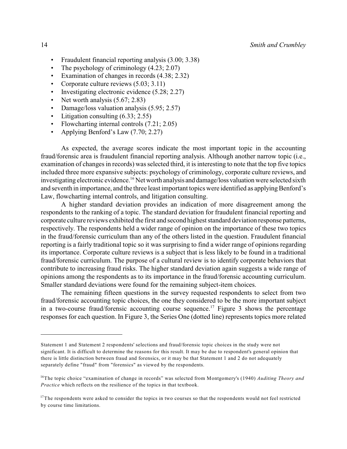- Fraudulent financial reporting analysis (3.00; 3.38)
- The psychology of criminology  $(4.23; 2.07)$
- Examination of changes in records (4.38; 2.32)
- Corporate culture reviews  $(5.03; 3.11)$
- Investigating electronic evidence (5.28; 2.27)
- Net worth analysis  $(5.67; 2.83)$
- Damage/loss valuation analysis (5.95; 2.57)
- Litigation consulting  $(6.33; 2.55)$
- Flowcharting internal controls (7.21; 2.05)
- Applying Benford's Law (7.70; 2.27)

As expected, the average scores indicate the most important topic in the accounting fraud/forensic area is fraudulent financial reporting analysis. Although another narrow topic (i.e., examination of changes in records) was selected third, it is interesting to note that the top five topics included three more expansive subjects: psychology of criminology, corporate culture reviews, and investigating electronic evidence.<sup>16</sup> Net worth analysis and damage/loss valuation were selected sixth and seventh in importance, and the three least important topics were identified as applying Benford's Law, flowcharting internal controls, and litigation consulting.

A higher standard deviation provides an indication of more disagreement among the respondents to the ranking of a topic. The standard deviation for fraudulent financial reporting and corporate culture reviews exhibited the first and second highest standard deviation response patterns, respectively. The respondents held a wider range of opinion on the importance of these two topics in the fraud/forensic curriculum than any of the others listed in the question. Fraudulent financial reporting is a fairly traditional topic so it was surprising to find a wider range of opinions regarding its importance. Corporate culture reviews is a subject that is less likely to be found in a traditional fraud/forensic curriculum. The purpose of a cultural review is to identify corporate behaviors that contribute to increasing fraud risks. The higher standard deviation again suggests a wide range of opinions among the respondents as to its importance in the fraud/forensic accounting curriculum. Smaller standard deviations were found for the remaining subject-item choices.

The remaining fifteen questions in the survey requested respondents to select from two fraud/forensic accounting topic choices, the one they considered to be the more important subject in a two-course fraud/forensic accounting course sequence.<sup>17</sup> Figure 3 shows the percentage responses for each question. In Figure 3, the Series One (dotted line) represents topics more related

Statement 1 and Statement 2 respondents' selections and fraud/forensic topic choices in the study were not significant. It is difficult to determine the reasons for this result. It may be due to respondent's general opinion that there is little distinction between fraud and forensics, or it may be that Statement 1 and 2 do not adequately separately define "fraud" from "forensics" as viewed by the respondents.

<sup>&</sup>lt;sup>16</sup>The topic choice "examination of change in records" was selected from Montgomery's (1940) *Auditing Theory and Practice* which reflects on the resilience of the topics in that textbook.

 $17$ The respondents were asked to consider the topics in two courses so that the respondents would not feel restricted by course time limitations.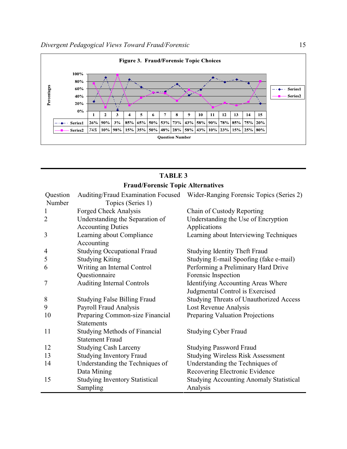

# **TABLE 3 Fraud/Forensic Topic Alternatives**

| Question       | Auditing/Fraud Examination Focused      | Wider-Ranging Forensic Topics (Series 2)       |
|----------------|-----------------------------------------|------------------------------------------------|
| Number         | Topics (Series 1)                       |                                                |
| 1              | Forged Check Analysis                   | Chain of Custody Reporting                     |
| $\overline{2}$ | Understanding the Separation of         | Understanding the Use of Encryption            |
|                | <b>Accounting Duties</b>                | Applications                                   |
| 3              | Learning about Compliance<br>Accounting | Learning about Interviewing Techniques         |
| $\overline{4}$ | <b>Studying Occupational Fraud</b>      | <b>Studying Identity Theft Fraud</b>           |
| 5              | <b>Studying Kiting</b>                  | Studying E-mail Spoofing (fake e-mail)         |
| 6              | Writing an Internal Control             | Performing a Preliminary Hard Drive            |
|                | Questionnaire                           | Forensic Inspection                            |
| 7              | <b>Auditing Internal Controls</b>       | Identifying Accounting Areas Where             |
|                |                                         | Judgmental Control is Exercised                |
| 8              | <b>Studying False Billing Fraud</b>     | <b>Studying Threats of Unauthorized Access</b> |
| 9              | Payroll Fraud Analysis                  | Lost Revenue Analysis                          |
| 10             | Preparing Common-size Financial         | Preparing Valuation Projections                |
|                | <b>Statements</b>                       |                                                |
| 11             | <b>Studying Methods of Financial</b>    | <b>Studying Cyber Fraud</b>                    |
|                | <b>Statement Fraud</b>                  |                                                |
| 12             | <b>Studying Cash Larceny</b>            | <b>Studying Password Fraud</b>                 |
| 13             | <b>Studying Inventory Fraud</b>         | <b>Studying Wireless Risk Assessment</b>       |
| 14             | Understanding the Techniques of         | Understanding the Techniques of                |
|                | Data Mining                             | Recovering Electronic Evidence                 |
| 15             | <b>Studying Inventory Statistical</b>   | <b>Studying Accounting Anomaly Statistical</b> |
|                | Sampling                                | Analysis                                       |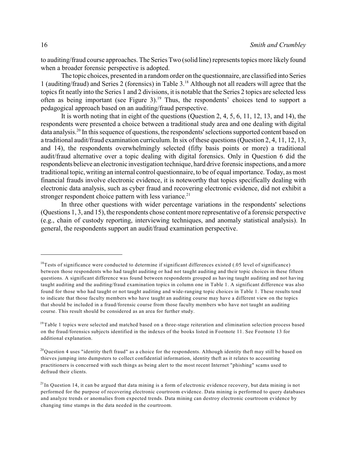to auditing/fraud course approaches. The Series Two (solid line) represents topics more likely found when a broader forensic perspective is adopted.

The topic choices, presented in a random order on the questionnaire, are classified into Series 1 (auditing/fraud) and Series 2 (forensics) in Table  $3.^{18}$  Although not all readers will agree that the topics fit neatly into the Series 1 and 2 divisions, it is notable that the Series 2 topics are selected less often as being important (see Figure 3).<sup>19</sup> Thus, the respondents' choices tend to support a pedagogical approach based on an auditing/fraud perspective.

It is worth noting that in eight of the questions (Question 2, 4, 5, 6, 11, 12, 13, and 14), the respondents were presented a choice between a traditional study area and one dealing with digital data analysis.<sup>20</sup> In this sequence of questions, the respondents' selections supported content based on a traditional audit/fraud examination curriculum. In six of these questions (Question 2, 4, 11, 12, 13, and 14), the respondents overwhelmingly selected (fifty basis points or more) a traditional audit/fraud alternative over a topic dealing with digital forensics. Only in Question 6 did the respondents believe an electronic investigation technique, hard drive forensic inspections, and amore traditional topic, writing an internal control questionnaire, to be of equal importance. Today, as most financial frauds involve electronic evidence, it is noteworthy that topics specifically dealing with electronic data analysis, such as cyber fraud and recovering electronic evidence, did not exhibit a stronger respondent choice pattern with less variance. $2<sup>1</sup>$ 

In three other questions with wider percentage variations in the respondents' selections (Questions 1, 3, and 15), the respondents chose content more representative of a forensic perspective (e.g., chain of custody reporting, interviewing techniques, and anomaly statistical analysis). In general, the respondents support an audit/fraud examination perspective.

 $18$ Tests of significance were conducted to determine if significant differences existed (.05 level of significance) between those respondents who had taught auditing or had not taught auditing and their topic choices in these fifteen questions. A significant difference was found between respondents grouped as having taught auditing and not having taught auditing and the auditing/fraud examination topics in column one in Table 1. A significant difference was also found for those who had taught or not taught auditing and wide-ranging topic choices in Table 1. These results tend to indicate that those faculty members who have taught an auditing course may have a different view on the topics that should be included in a fraud/forensic course from those faculty members who have not taught an auditing course. This result should be considered as an area for further study.

 $19$ Table 1 topics were selected and matched based on a three-stage reiteration and elimination selection process based on the fraud/forensics subjects identified in the indexes of the books listed in Footnote 11. See Footnote 13 for additional explanation.

 $^{20}$ Question 4 uses "identity theft fraud" as a choice for the respondents. Although identity theft may still be based on thieves jumping into dumpsters to collect confidential information, identity theft as it relates to accounting practitioners is concerned with such things as being alert to the most recent Internet "phishing" scams used to defraud their clients.

 $21$ In Question 14, it can be argued that data mining is a form of electronic evidence recovery, but data mining is not performed for the purpose of recovering electronic courtroom evidence. Data mining is performed to query databases and analyze trends or anomalies from expected trends. Data mining can destroy electronic courtroom evidence by changing time stamps in the data needed in the courtroom.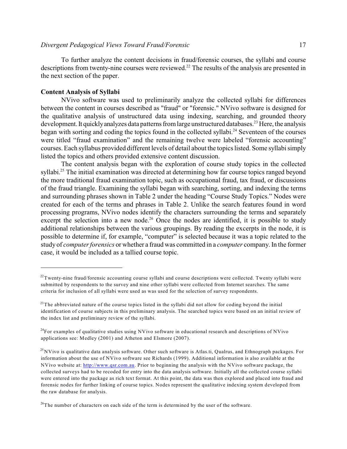To further analyze the content decisions in fraud/forensic courses, the syllabi and course descriptions from twenty-nine courses were reviewed. $22$  The results of the analysis are presented in the next section of the paper.

#### **Content Analysis of Syllabi**

NVivo software was used to preliminarily analyze the collected syllabi for differences between the content in courses described as "fraud" or "forensic." NVivo software is designed for the qualitative analysis of unstructured data using indexing, searching, and grounded theory development. It quickly analyzes data patterns from large unstructured databases.<sup>23</sup> Here, the analysis began with sorting and coding the topics found in the collected syllabi.<sup>24</sup> Seventeen of the courses were titled "fraud examination" and the remaining twelve were labeled "forensic accounting" courses. Each syllabus provided different levels of detail about the topics listed. Some syllabi simply listed the topics and others provided extensive content discussion.

The content analysis began with the exploration of course study topics in the collected syllabi.<sup>25</sup> The initial examination was directed at determining how far course topics ranged beyond the more traditional fraud examination topic, such as occupational fraud, tax fraud, or discussions of the fraud triangle. Examining the syllabi began with searching, sorting, and indexing the terms and surrounding phrases shown in Table 2 under the heading "Course Study Topics." Nodes were created for each of the terms and phrases in Table 2. Unlike the search features found in word processing programs, NVivo nodes identify the characters surrounding the terms and separately excerpt the selection into a new node.<sup>26</sup> Once the nodes are identified, it is possible to study additional relationships between the various groupings. By reading the excerpts in the node, it is possible to determine if, for example, "computer" is selected because it was a topic related to the study of *computer forensics* or whether a fraud was committed in a *computer* company. In the former case, it would be included as a tallied course topic.

 $^{22}$ Twenty-nine fraud/forensic accounting course syllabi and course descriptions were collected. Twenty syllabi were submitted by respondents to the survey and nine other syllabi were collected from Internet searches. The same criteria for inclusion of all syllabi were used as was used for the selection of survey respondents.

 $2<sup>23</sup>$ The abbreviated nature of the course topics listed in the syllabi did not allow for coding beyond the initial identification of course subjects in this preliminary analysis. The searched topics were based on an initial review of the index list and preliminary review of the syllabi.

 $^{24}$ For examples of qualitative studies using NVivo software in educational research and descriptions of NVivo applications see: Medley (2001) and Atheton and Elsmore (2007).

 $^{25}$ NVivo is qualitative data analysis software. Other such software is Atlas.ti, Qualrus, and Ethnograph packages. For information about the use of NVivo software see Richards (1999). Additional information is also available at the NVivo website at: <http://www.qsr.com.au>. Prior to beginning the analysis with the NVivo software package, the collected surveys had to be recoded for entry into the data analysis software. Initially all the collected course syllabi were entered into the package as rich text format. At this point, the data was then explored and placed into fraud and forensic nodes for further linking of course topics. Nodes represent the qualitative indexing system developed from the raw database for analysis.

 $26$ The number of characters on each side of the term is determined by the user of the software.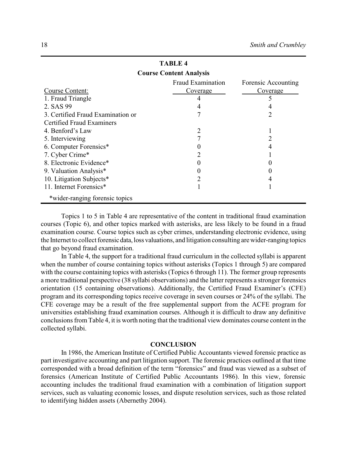| <b>Course Content Analysis</b>    |                          |                     |  |
|-----------------------------------|--------------------------|---------------------|--|
|                                   | <b>Fraud Examination</b> | Forensic Accounting |  |
| Course Content:                   | Coverage                 | Coverage            |  |
| 1. Fraud Triangle                 |                          |                     |  |
| 2. SAS 99                         |                          |                     |  |
| 3. Certified Fraud Examination or |                          |                     |  |
| <b>Certified Fraud Examiners</b>  |                          |                     |  |
| 4. Benford's Law                  |                          |                     |  |
| 5. Interviewing                   |                          |                     |  |
| 6. Computer Forensics*            |                          |                     |  |
| 7. Cyber Crime*                   |                          |                     |  |
| 8. Electronic Evidence*           |                          |                     |  |
| 9. Valuation Analysis*            |                          |                     |  |
| 10. Litigation Subjects*          |                          |                     |  |
| 11. Internet Forensics*           |                          |                     |  |
| *wider-ranging forensic topics    |                          |                     |  |

**TABLE 4**

Topics 1 to 5 in Table 4 are representative of the content in traditional fraud examination courses (Topic 6), and other topics marked with asterisks, are less likely to be found in a fraud examination course. Course topics such as cyber crimes, understanding electronic evidence, using the Internet to collect forensic data, loss valuations, and litigation consulting arewider-ranging topics that go beyond fraud examination.

In Table 4, the support for a traditional fraud curriculum in the collected syllabi is apparent when the number of course containing topics without asterisks (Topics 1 through 5) are compared with the course containing topics with asterisks (Topics 6 through 11). The former group represents a more traditional perspective (38 syllabi observations) and the latter represents a stronger forensics orientation (15 containing observations). Additionally, the Certified Fraud Examiner's (CFE) program and its corresponding topics receive coverage in seven courses or 24% of the syllabi. The CFE coverage may be a result of the free supplemental support from the ACFE program for universities establishing fraud examination courses. Although it is difficult to draw any definitive conclusions from Table 4, it is worth noting that the traditional view dominates course content in the collected syllabi.

#### **CONCLUSION**

In 1986, the American Institute of Certified Public Accountants viewed forensic practice as part investigative accounting and part litigation support. The forensic practices outlined at that time corresponded with a broad definition of the term "forensics" and fraud was viewed as a subset of forensics (American Institute of Certified Public Accountants 1986). In this view, forensic accounting includes the traditional fraud examination with a combination of litigation support services, such as valuating economic losses, and dispute resolution services, such as those related to identifying hidden assets (Abernethy 2004).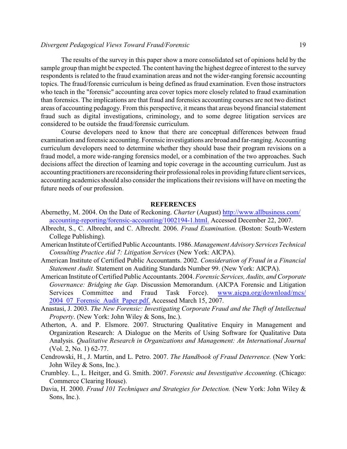#### *Divergent Pedagogical Views Toward Fraud/Forensic* 19

The results of the survey in this paper show a more consolidated set of opinions held by the sample group than might be expected. The content having the highest degree of interest to the survey respondents is related to the fraud examination areas and not the wider-ranging forensic accounting topics. The fraud/forensic curriculum is being defined as fraud examination. Even those instructors who teach in the "forensic" accounting area cover topics more closely related to fraud examination than forensics. The implications are that fraud and forensics accounting courses are not two distinct areas of accounting pedagogy. From this perspective, it means that areas beyond financial statement fraud such as digital investigations, criminology, and to some degree litigation services are considered to be outside the fraud/forensic curriculum.

Course developers need to know that there are conceptual differences between fraud examination and forensic accounting. Forensic investigations are broad and far-ranging. Accounting curriculum developers need to determine whether they should base their program revisions on a fraud model, a more wide-ranging forensics model, or a combination of the two approaches. Such decisions affect the direction of learning and topic coverage in the accounting curriculum. Just as accounting practitioners are reconsidering their professional roles in providing future client services, accounting academics should also consider the implications their revisions will have on meeting the future needs of our profession.

#### **REFERENCES**

- Abernethy, M. 2004. On the Date of Reckoning. *Charter* (August) [http://www.allbusiness.com/](http://www.allbusiness.com/accounting-reporting/forensic-accounting/1002194-1.html) [accounting-reporting/forensic-accounting/1002194-1.html.](http://www.allbusiness.com/accounting-reporting/forensic-accounting/1002194-1.html) Accessed December 22, 2007.
- Albrecht, S., C. Albrecht, and C. Albrecht. 2006. *Fraud Examination*. (Boston: South-Western College Publishing).
- American Institute of Certified Public Accountants. 1986. *Management Advisory Services Technical Consulting Practice Aid 7: Litigation Services* (New York: AICPA).
- American Institute of Certified Public Accountants. 2002. *Consideration of Fraud in a Financial Statement Audit.* Statement on Auditing Standards Number 99. (New York: AICPA).
- American Institute of Certified Public Accountants. 2004. *Forensic Services, Audits, and Corporate Governance: Bridging the Gap.* Discussion Memorandum. (AICPA Forensic and Litigation Services Committee and Fraud Task Force). [www.aicpa.org/download/mcs/](http://www.aicpa.org/download/mcs/2004_07_Forensic_Audit_Paper.pdf) 2004 07 Forensic Audit Paper.pdf. Accessed March 15, 2007.
- Anastasi, J. 2003. *The New Forensic: Investigating Corporate Fraud and the Theft of Intellectual Property*. (New York: John Wiley & Sons, Inc.).
- Atherton, A. and P. Elsmore. 2007. Structuring Qualitative Enquiry in Management and Organization Research: A Dialogue on the Merits of Using Software for Qualitative Data Analysis. *Qualitative Research in Organizations and Management: An International Journal* (Vol. 2, No. 1) 62-77.
- Cendrowski, H., J. Martin, and L. Petro. 2007. *The Handbook of Fraud Deterrence.* (New York: John Wiley & Sons, Inc.).
- Crumbley. L., L. Heitger, and G. Smith. 2007. *Forensic and Investigative Accounting*. (Chicago: Commerce Clearing House).
- Davia, H. 2000. *Fraud 101 Techniques and Strategies for Detection.* (New York: John Wiley & Sons, Inc.).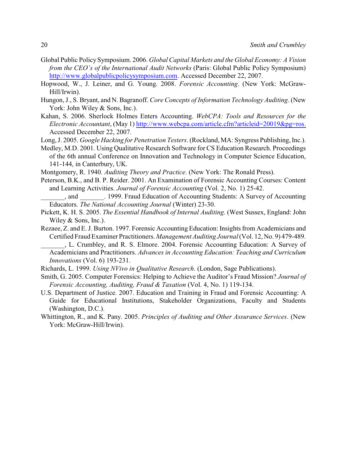- Global Public Policy Symposium. 2006. *Global Capital Markets and the Global Economy: A Vision from the CEO's of the International Audit Networks* (Paris: Global Public Policy Symposium) <http://www.globalpublicpolicysymposium.com>. Accessed December 22, 2007.
- Hopwood, W., J. Leiner, and G. Young. 2008. *Forensic Accounting*. (New York: McGraw-Hill/Irwin).
- Hungon, J., S. Bryant, and N. Bagranoff. *Core Concepts of Information Technology Auditing*. (New York: John Wiley & Sons, Inc.).
- Kahan, S. 2006. Sherlock Holmes Enters Accounting. *WebCPA: Tools and Resources for the Electronic Accountant*, (May 1) [http://www.webcpa.com/article.cfm?articleid=20019&pg=ros.](http://www.webcpa.com/article.cfm?articleid=20019&pg=ros) Accessed December 22, 2007.
- Long, J. 2005. *Google Hacking for Penetration Testers*. (Rockland, MA: Syngress Publishing, Inc.).
- Medley, M.D. 2001. Using Qualitative Research Software for CS Education Research. Proceedings of the 6th annual Conference on Innovation and Technology in Computer Science Education, 141-144, in Canterbury, UK.
- Montgomery, R. 1940. *Auditing Theory and Practice*. (New York: The Ronald Press).
- Peterson, B.K., and B. P. Reider. 2001. An Examination of Forensic Accounting Courses: Content and Learning Activities. *Journal of Forensic Accounting* (Vol. 2, No. 1) 25-42.
- \_\_\_\_\_\_\_, and \_\_\_\_\_\_\_. 1999. Fraud Education of Accounting Students: A Survey of Accounting Educators. *The National Accounting Journal* (Winter) 23-30.
- Pickett, K. H. S. 2005. *The Essential Handbook of Internal Auditing*. (West Sussex, England: John Wiley & Sons, Inc.).
- Rezaee, Z. and E. J. Burton. 1997. Forensic Accounting Education: Insights from Academicians and Certified Fraud Examiner Practitioners. *Management Auditing Journal*(Vol. 12, No. 9) 479-489.
	- \_\_\_\_\_\_\_, L. Crumbley, and R. S. Elmore. 2004. Forensic Accounting Education: A Survey of Academicians and Practitioners. *Advances in Accounting Education: Teaching and Curriculum Innovations* (Vol. 6) 193-231.
- Richards, L. 1999. *Using NVivo in Qualitative Research*. (London, Sage Publications).
- Smith, G. 2005. Computer Forensics: Helping to Achieve the Auditor's Fraud Mission? *Journal of Forensic Accounting, Auditing, Fraud & Taxation* (Vol. 4, No. 1) 119-134.
- U.S. Department of Justice. 2007. Education and Training in Fraud and Forensic Accounting: A Guide for Educational Institutions, Stakeholder Organizations, Faculty and Students (Washington, D.C.).
- Whittington, R., and K. Pany. 2005. *Principles of Auditing and Other Assurance Services*. (New York: McGraw-Hill/Irwin).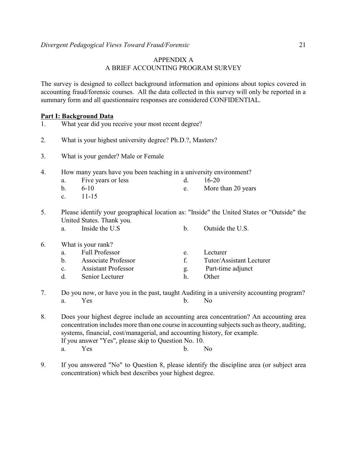# APPENDIX A A BRIEF ACCOUNTING PROGRAM SURVEY

The survey is designed to collect background information and opinions about topics covered in accounting fraud/forensic courses. All the data collected in this survey will only be reported in a summary form and all questionnaire responses are considered CONFIDENTIAL.

# **Part I: Background Data**

| 1. |                | What year did you receive your most recent degree?                 |    |                                                                                            |
|----|----------------|--------------------------------------------------------------------|----|--------------------------------------------------------------------------------------------|
| 2. |                | What is your highest university degree? Ph.D.?, Masters?           |    |                                                                                            |
| 3. |                | What is your gender? Male or Female                                |    |                                                                                            |
| 4. |                | How many years have you been teaching in a university environment? |    |                                                                                            |
|    | a.             | Five years or less                                                 | d. | $16 - 20$                                                                                  |
|    | $\mathbf b$ .  | $6 - 10$                                                           | e. | More than 20 years                                                                         |
|    | $\mathbf{c}$ . | $11 - 15$                                                          |    |                                                                                            |
| 5. |                |                                                                    |    | Please identify your geographical location as: "Inside" the United States or "Outside" the |
|    |                | United States. Thank you.                                          |    |                                                                                            |
|    | a.             | Inside the U.S.                                                    | b. | Outside the U.S.                                                                           |
| 6. |                | What is your rank?                                                 |    |                                                                                            |
|    | a.             | <b>Full Professor</b>                                              | e. | Lecturer                                                                                   |
|    | b.             | <b>Associate Professor</b>                                         | f. | Tutor/Assistant Lecturer                                                                   |
|    | $\mathbf{c}$ . | <b>Assistant Professor</b>                                         | g. | Part-time adjunct                                                                          |
|    | d.             | Senior Lecturer                                                    | h. | Other                                                                                      |
| 7. |                |                                                                    |    | Do you now, or have you in the past, taught Auditing in a university accounting program?   |

- 7. Do you now, or have you in the past, taught Auditing in a university accounting program? a. Yes b. No
- 8. Does your highest degree include an accounting area concentration? An accounting area concentration includes more than one course in accounting subjects such as theory, auditing, systems, financial, cost/managerial, and accounting history, for example. If you answer "Yes", please skip to Question No. 10. a. Yes b. No
- 9. If you answered "No" to Question 8, please identify the discipline area (or subject area concentration) which best describes your highest degree.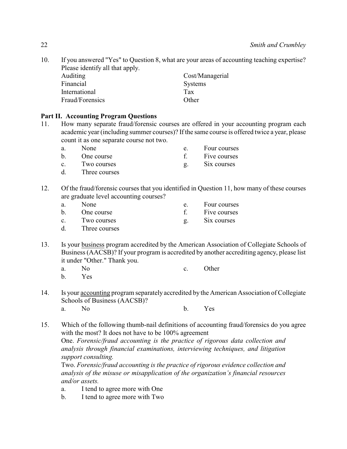10. If you answered "Yes" to Question 8, what are your areas of accounting teaching expertise? Please identify all that apply.

| <b>Auditing</b> | Cost/Managerial |
|-----------------|-----------------|
| Financial       | Systems         |
| International   | Tax             |
| Fraud/Forensics | Other           |

# **Part II. Accounting Program Questions**

- 11. How many separate fraud/forensic courses are offered in your accounting program each academic year (including summer courses)? If the same course is offered twice a year, please count it as one separate course not two.
	- a. None e. Four courses b. One course f. Five courses
	- c. Two courses eq. Six courses
	- d. Three courses
- 12. Of the fraud/forensic courses that you identified in Question 11, how many of these courses are graduate level accounting courses?
	- a. None e. Four courses b. One course f. Five courses c. Two courses g. Six courses
	- d. Three courses
- 13. Is your business program accredited by the American Association of Collegiate Schools of Business (AACSB)? If your program is accredited by another accrediting agency, please list it under "Other." Thank you.
	- a. No c. Other
	- b. Yes
- 14. Is your accounting program separately accredited by the American Association of Collegiate Schools of Business (AACSB)? a. No b. Yes
- 15. Which of the following thumb-nail definitions of accounting fraud/forensics do you agree with the most? It does not have to be 100% agreement

One. *Forensic/fraud accounting is the practice of rigorous data collection and analysis through financial examinations, interviewing techniques, and litigation support consulting.*

Two. *Forensic/fraud accounting is the practice of rigorous evidence collection and analysis of the misuse or misapplication of the organization's financial resources and/or assets.*

- a. I tend to agree more with One
- b. I tend to agree more with Two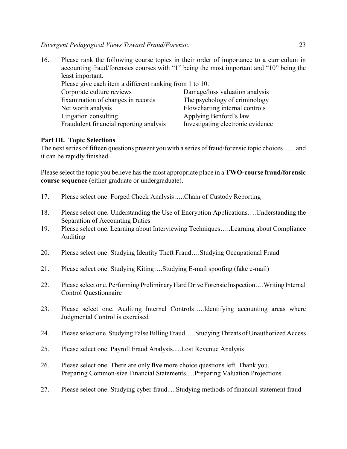*Divergent Pedagogical Views Toward Fraud/Forensic* 23

16. Please rank the following course topics in their order of importance to a curriculum in accounting fraud/forensics courses with "1" being the most important and "10" being the least important.

| Please give each item a different ranking from 1 to 10. |                                   |
|---------------------------------------------------------|-----------------------------------|
| Corporate culture reviews                               | Damage/loss valuation analysis    |
| Examination of changes in records                       | The psychology of criminology     |
| Net worth analysis                                      | Flowcharting internal controls    |
| Litigation consulting                                   | Applying Benford's law            |
| Fraudulent financial reporting analysis                 | Investigating electronic evidence |

# **Part III. Topic Selections**

The next series of fifteen questions present you with a series of fraud/forensic topic choices....... and it can be rapidly finished.

Please select the topic you believe has the most appropriate place in a **TWO-course fraud/forensic course sequence** (either graduate or undergraduate).

- 17. Please select one. Forged Check Analysis…..Chain of Custody Reporting
- 18. Please select one. Understanding the Use of Encryption Applications….Understanding the Separation of Accounting Duties
- 19. Please select one. Learning about Interviewing Techniques…..Learning about Compliance Auditing
- 20. Please select one. Studying Identity Theft Fraud….Studying Occupational Fraud
- 21. Please select one. Studying Kiting….Studying E-mail spoofing (fake e-mail)
- 22. Please select one. Performing Preliminary Hard Drive Forensic Inspection....Writing Internal Control Questionnaire
- 23. Please select one. Auditing Internal Controls…..Identifying accounting areas where Judgmental Control is exercised
- 24. Please select one. Studying False Billing Fraud…..Studying Threats of Unauthorized Access
- 25. Please select one. Payroll Fraud Analysis.....Lost Revenue Analysis
- 26. Please select one. There are only **five** more choice questions left. Thank you. Preparing Common-size Financial Statements.....Preparing Valuation Projections
- 27. Please select one. Studying cyber fraud.....Studying methods of financial statement fraud